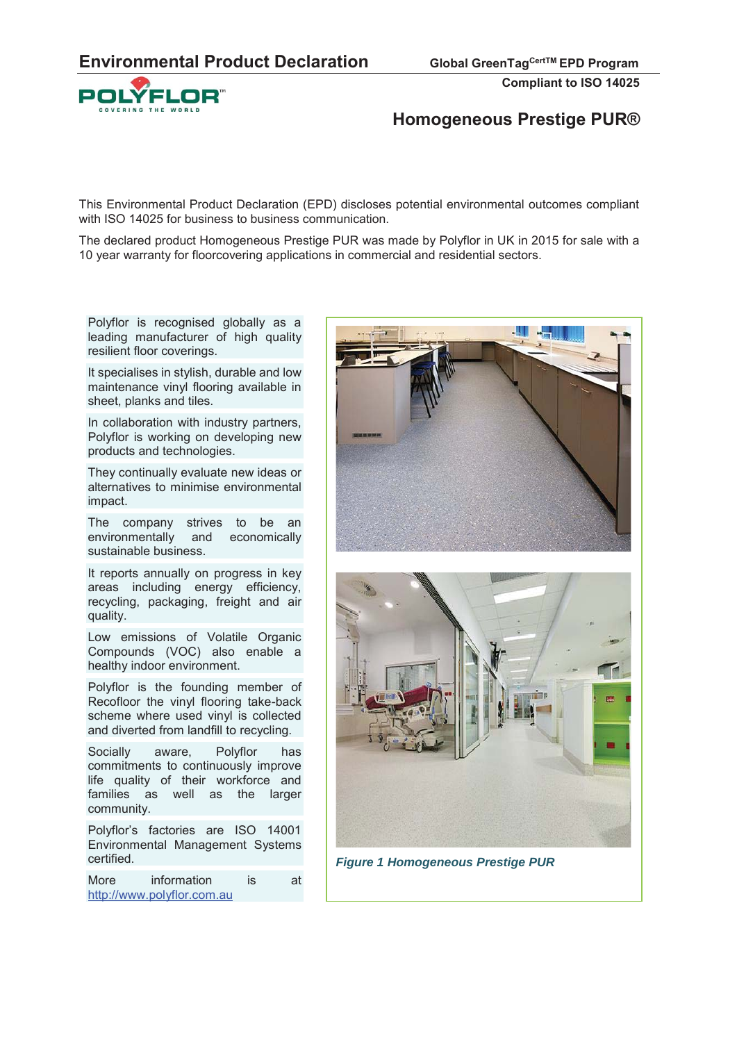

# **Homogeneous Prestige PUR®**

This Environmental Product Declaration (EPD) discloses potential environmental outcomes compliant with ISO 14025 for business to business communication.

The declared product Homogeneous Prestige PUR was made by Polyflor in UK in 2015 for sale with a 10 year warranty for floorcovering applications in commercial and residential sectors.

Polyflor is recognised globally as a leading manufacturer of high quality resilient floor coverings.

It specialises in stylish, durable and low maintenance vinyl flooring available in sheet, planks and tiles.

In collaboration with industry partners, Polyflor is working on developing new products and technologies.

They continually evaluate new ideas or alternatives to minimise environmental impact.

The company strives to be an environmentally and economically sustainable business.

It reports annually on progress in key areas including energy efficiency, recycling, packaging, freight and air quality.

Low emissions of Volatile Organic Compounds (VOC) also enable a healthy indoor environment.

Polyflor is the founding member of Recofloor the vinyl flooring take-back scheme where used vinyl is collected and diverted from landfill to recycling.

Socially aware, Polyflor has commitments to continuously improve life quality of their workforce and families as well as the larger community.

Polyflor's factories are ISO 14001 Environmental Management Systems certified.

More information is at http://www.polyflor.com.au



*Figure 1 Homogeneous Prestige PUR*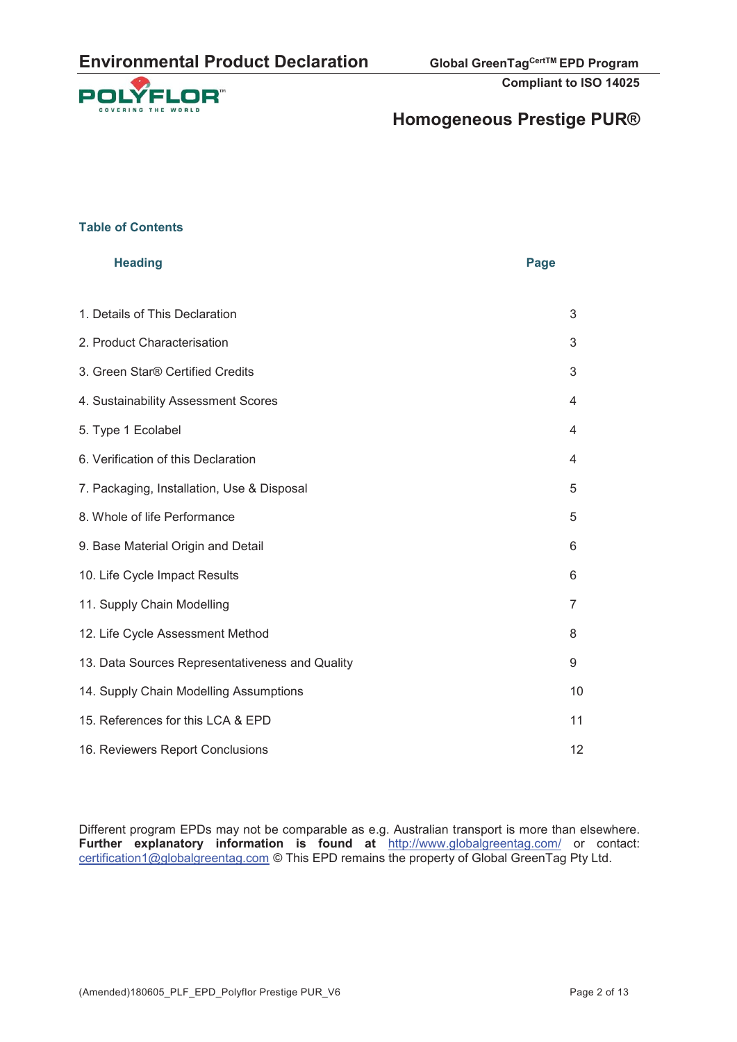

# **Homogeneous Prestige PUR®**

#### **Table of Contents**

| <b>Heading</b>                                  | Page |
|-------------------------------------------------|------|
| 1. Details of This Declaration                  | 3    |
| 2. Product Characterisation                     | 3    |
| 3. Green Star® Certified Credits                | 3    |
| 4. Sustainability Assessment Scores             | 4    |
| 5. Type 1 Ecolabel                              | 4    |
| 6. Verification of this Declaration             | 4    |
| 7. Packaging, Installation, Use & Disposal      | 5    |
| 8. Whole of life Performance                    | 5    |
| 9. Base Material Origin and Detail              | 6    |
| 10. Life Cycle Impact Results                   | 6    |
| 11. Supply Chain Modelling                      | 7    |
| 12. Life Cycle Assessment Method                | 8    |
| 13. Data Sources Representativeness and Quality | 9    |
| 14. Supply Chain Modelling Assumptions          | 10   |
| 15. References for this LCA & EPD               | 11   |
| 16. Reviewers Report Conclusions                | 12   |

Different program EPDs may not be comparable as e.g. Australian transport is more than elsewhere. **Further explanatory information is found at** http://www.globalgreentag.com/ or contact: certification1@globalgreentag.com © This EPD remains the property of Global GreenTag Pty Ltd.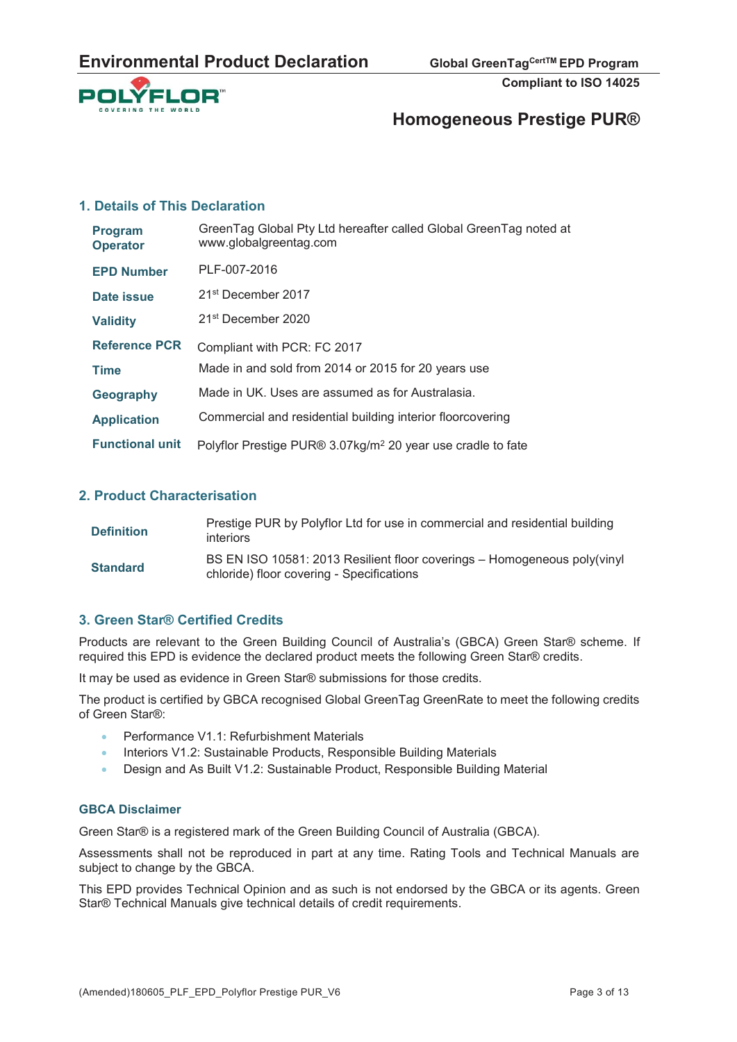

# **Homogeneous Prestige PUR®**

#### **1. Details of This Declaration**

| Program<br><b>Operator</b> | GreenTag Global Pty Ltd hereafter called Global GreenTag noted at<br>www.globalgreentag.com |
|----------------------------|---------------------------------------------------------------------------------------------|
| <b>EPD Number</b>          | PLF-007-2016                                                                                |
| Date issue                 | 21 <sup>st</sup> December 2017                                                              |
| <b>Validity</b>            | 21 <sup>st</sup> December 2020                                                              |
| <b>Reference PCR</b>       | Compliant with PCR: FC 2017                                                                 |
| <b>Time</b>                | Made in and sold from 2014 or 2015 for 20 years use                                         |
| Geography                  | Made in UK. Uses are assumed as for Australasia.                                            |
| <b>Application</b>         | Commercial and residential building interior floorcovering                                  |
| <b>Functional unit</b>     | Polyflor Prestige PUR® 3.07kg/m <sup>2</sup> 20 year use cradle to fate                     |

#### **2. Product Characterisation**

| <b>Definition</b> | Prestige PUR by Polyflor Ltd for use in commercial and residential building<br><i>interiors</i>                       |
|-------------------|-----------------------------------------------------------------------------------------------------------------------|
| <b>Standard</b>   | BS EN ISO 10581: 2013 Resilient floor coverings - Homogeneous poly(vinyl<br>chloride) floor covering - Specifications |

### **3. Green Star® Certified Credits**

Products are relevant to the Green Building Council of Australia's (GBCA) Green Star® scheme. If required this EPD is evidence the declared product meets the following Green Star® credits.

It may be used as evidence in Green Star® submissions for those credits.

The product is certified by GBCA recognised Global GreenTag GreenRate to meet the following credits of Green Star®:

- x Performance V1.1: Refurbishment Materials
- Interiors V1.2: Sustainable Products, Responsible Building Materials
- Design and As Built V1.2: Sustainable Product, Responsible Building Material

#### **GBCA Disclaimer**

Green Star® is a registered mark of the Green Building Council of Australia (GBCA).

Assessments shall not be reproduced in part at any time. Rating Tools and Technical Manuals are subject to change by the GBCA.

This EPD provides Technical Opinion and as such is not endorsed by the GBCA or its agents. Green Star<sup>®</sup> Technical Manuals give technical details of credit requirements.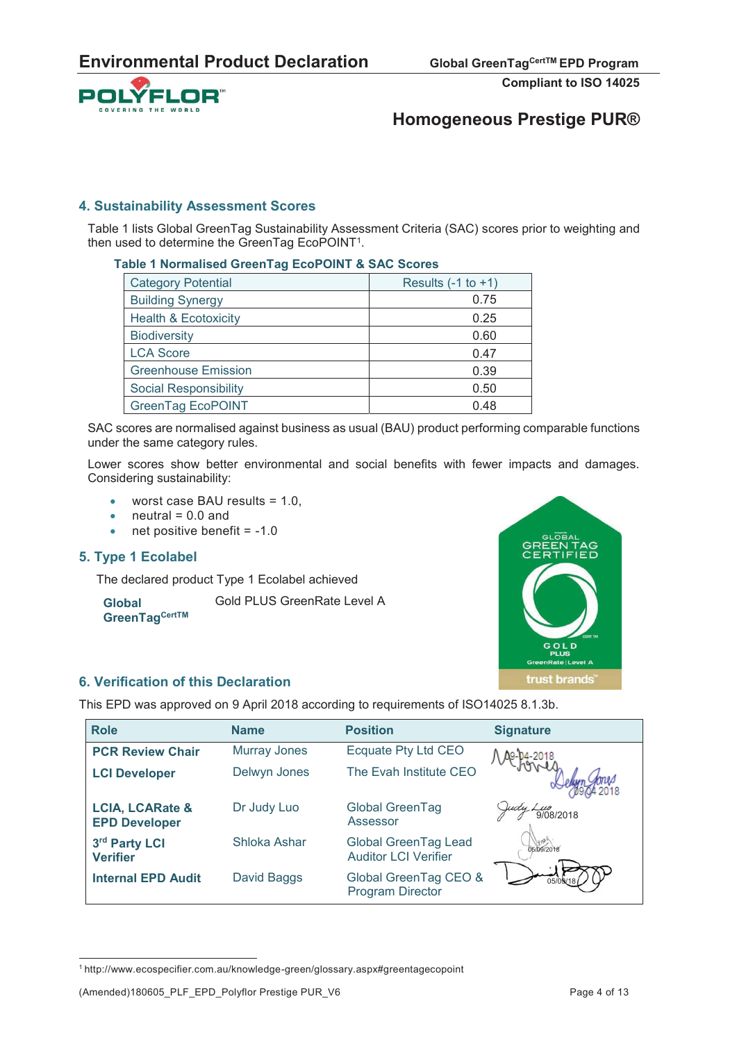

# **Homogeneous Prestige PUR®**

#### **4. Sustainability Assessment Scores**

Table 1 lists Global GreenTag Sustainability Assessment Criteria (SAC) scores prior to weighting and then used to determine the GreenTag EcoPOINT<sup>1</sup>.

#### **Table 1 Normalised GreenTag EcoPOINT & SAC Scores**

| <b>Category Potential</b>       | Results $(-1)$ to $+1)$ |
|---------------------------------|-------------------------|
| <b>Building Synergy</b>         | 0.75                    |
| <b>Health &amp; Ecotoxicity</b> | 0.25                    |
| <b>Biodiversity</b>             | 0.60                    |
| <b>LCA Score</b>                | 0.47                    |
| <b>Greenhouse Emission</b>      | 0.39                    |
| Social Responsibility           | 0.50                    |
| <b>GreenTag EcoPOINT</b>        | 0.48                    |

SAC scores are normalised against business as usual (BAU) product performing comparable functions under the same category rules.

Lower scores show better environmental and social benefits with fewer impacts and damages. Considering sustainability:

- $\bullet$  worst case BAU results = 1.0,
- $\bullet$  neutral = 0.0 and
- $\bullet$  net positive benefit = -1.0

#### **5. Type 1 Ecolabel**

**Global** 

The declared product Type 1 Ecolabel achieved

Gold PLUS GreenRate Level A

# **GreenTagCertTM**



#### **6. Verification of this Declaration**

This EPD was approved on 9 April 2018 according to requirements of ISO14025 8.1.3b.

| <b>Role</b>                                        | <b>Name</b>         | <b>Position</b>                                     | <b>Signature</b> |
|----------------------------------------------------|---------------------|-----------------------------------------------------|------------------|
| <b>PCR Review Chair</b>                            | <b>Murray Jones</b> | Ecquate Pty Ltd CEO                                 |                  |
| <b>LCI Developer</b>                               | Delwyn Jones        | The Evah Institute CEO                              |                  |
| <b>LCIA, LCARate &amp;</b><br><b>EPD Developer</b> | Dr Judy Luo         | Global GreenTag<br>Assessor                         | 9/08/2018        |
| 3rd Party LCI<br><b>Verifier</b>                   | Shloka Ashar        | Global GreenTag Lead<br><b>Auditor LCI Verifier</b> | 05/09/2018       |
| <b>Internal EPD Audit</b>                          | David Baggs         | Global GreenTag CEO &<br><b>Program Director</b>    |                  |

<sup>1</sup> http://www.ecospecifier.com.au/knowledge-green/glossary.aspx#greentagecopoint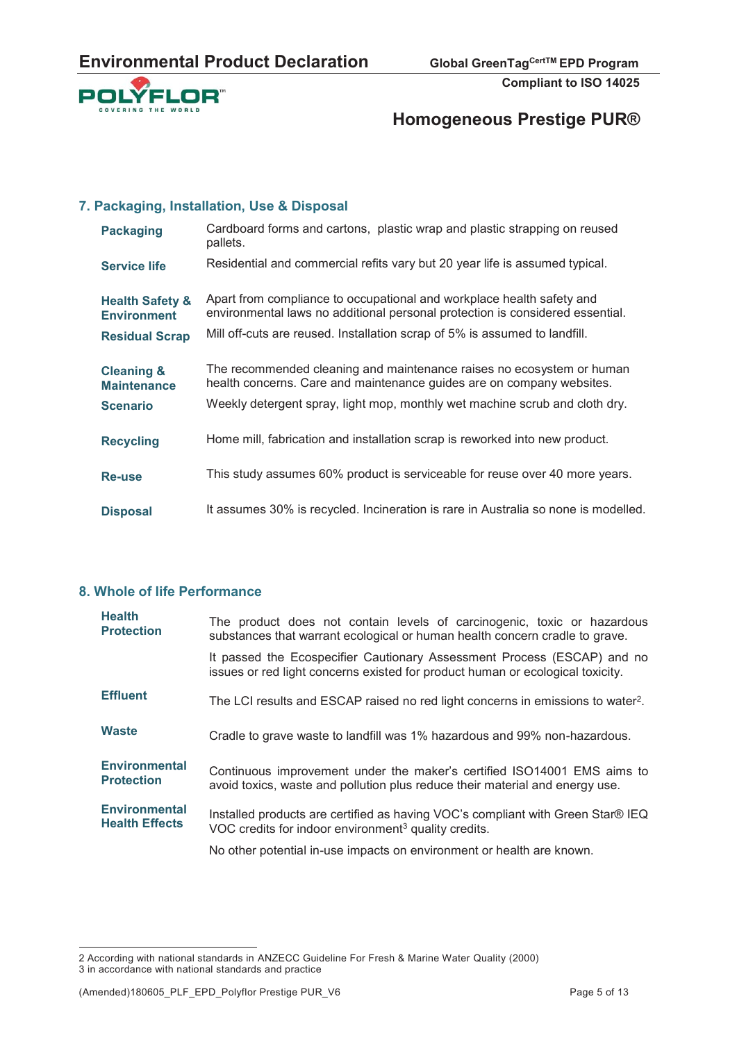

# **Homogeneous Prestige PUR®**

#### **7. Packaging, Installation, Use & Disposal**

| <b>Packaging</b>                                 | Cardboard forms and cartons, plastic wrap and plastic strapping on reused<br>pallets.                                                                  |
|--------------------------------------------------|--------------------------------------------------------------------------------------------------------------------------------------------------------|
| <b>Service life</b>                              | Residential and commercial refits vary but 20 year life is assumed typical.                                                                            |
| <b>Health Safety &amp;</b><br><b>Environment</b> | Apart from compliance to occupational and workplace health safety and<br>environmental laws no additional personal protection is considered essential. |
| <b>Residual Scrap</b>                            | Mill off-cuts are reused. Installation scrap of 5% is assumed to landfill.                                                                             |
| <b>Cleaning &amp;</b><br><b>Maintenance</b>      | The recommended cleaning and maintenance raises no ecosystem or human<br>health concerns. Care and maintenance guides are on company websites.         |
| <b>Scenario</b>                                  | Weekly detergent spray, light mop, monthly wet machine scrub and cloth dry.                                                                            |
| <b>Recycling</b>                                 | Home mill, fabrication and installation scrap is reworked into new product.                                                                            |
| <b>Re-use</b>                                    | This study assumes 60% product is serviceable for reuse over 40 more years.                                                                            |
| <b>Disposal</b>                                  | It assumes 30% is recycled. Incineration is rare in Australia so none is modelled.                                                                     |

### **8. Whole of life Performance**

| <b>Health</b><br><b>Protection</b>            | The product does not contain levels of carcinogenic, toxic or hazardous<br>substances that warrant ecological or human health concern cradle to grave.    |
|-----------------------------------------------|-----------------------------------------------------------------------------------------------------------------------------------------------------------|
|                                               | It passed the Ecospecifier Cautionary Assessment Process (ESCAP) and no<br>issues or red light concerns existed for product human or ecological toxicity. |
| <b>Effluent</b>                               | The LCI results and ESCAP raised no red light concerns in emissions to water <sup>2</sup> .                                                               |
| <b>Waste</b>                                  | Cradle to grave waste to landfill was 1% hazardous and 99% non-hazardous.                                                                                 |
| <b>Environmental</b><br><b>Protection</b>     | Continuous improvement under the maker's certified ISO14001 EMS aims to<br>avoid toxics, waste and pollution plus reduce their material and energy use.   |
| <b>Environmental</b><br><b>Health Effects</b> | Installed products are certified as having VOC's compliant with Green Star® IEQ<br>VOC credits for indoor environment <sup>3</sup> quality credits.       |
|                                               | No other potential in-use impacts on environment or health are known.                                                                                     |

 $\overline{a}$ 2 According with national standards in ANZECC Guideline For Fresh & Marine Water Quality (2000) 3 in accordance with national standards and practice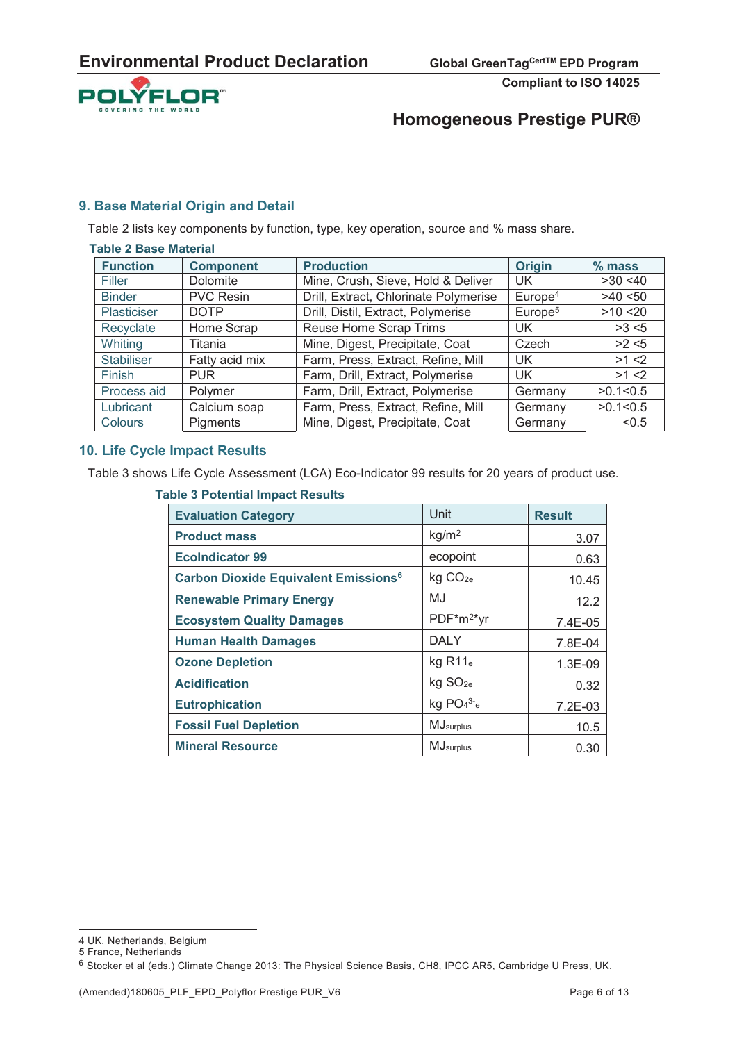

# **Homogeneous Prestige PUR®**

#### **9. Base Material Origin and Detail**

Table 2 lists key components by function, type, key operation, source and % mass share.

| <b>Table 2 Base Material</b> |                  |                                       |                     |            |
|------------------------------|------------------|---------------------------------------|---------------------|------------|
| <b>Function</b>              | <b>Component</b> | <b>Production</b>                     | <b>Origin</b>       | $%$ mass   |
| Filler                       | Dolomite         | Mine, Crush, Sieve, Hold & Deliver    | UK                  | $>30$ <40  |
| <b>Binder</b>                | <b>PVC Resin</b> | Drill, Extract, Chlorinate Polymerise | Europe <sup>4</sup> | $>40$ < 50 |
| <b>Plasticiser</b>           | <b>DOTP</b>      | Drill, Distil, Extract, Polymerise    | Europe <sup>5</sup> | $>10$ < 20 |
| Recyclate                    | Home Scrap       | Reuse Home Scrap Trims                | UK.                 | >3 < 5     |
| Whiting                      | Titania          | Mine, Digest, Precipitate, Coat       | Czech               | >2 < 5     |
| <b>Stabiliser</b>            | Fatty acid mix   | Farm, Press, Extract, Refine, Mill    | UK                  | $>1$ <2    |
| Finish                       | <b>PUR</b>       | Farm, Drill, Extract, Polymerise      | UK.                 | $>1$ <2    |
| Process aid                  | Polymer          | Farm, Drill, Extract, Polymerise      | Germany             | >0.1 < 0.5 |
| Lubricant                    | Calcium soap     | Farm, Press, Extract, Refine, Mill    | Germany             | >0.1 < 0.5 |
| Colours                      | Pigments         | Mine, Digest, Precipitate, Coat       | Germany             | < 0.5      |

#### **10. Life Cycle Impact Results**

Table 3 shows Life Cycle Assessment (LCA) Eco-Indicator 99 results for 20 years of product use.

#### **Table 3 Potential Impact Results**

| <b>Evaluation Category</b>                             | Unit                   | <b>Result</b> |
|--------------------------------------------------------|------------------------|---------------|
| <b>Product mass</b>                                    | kg/m <sup>2</sup>      | 3.07          |
| <b>EcoIndicator 99</b>                                 | ecopoint               | 0.63          |
| <b>Carbon Dioxide Equivalent Emissions<sup>6</sup></b> | kg CO <sub>2e</sub>    | 10.45         |
| <b>Renewable Primary Energy</b>                        | MJ                     | 12.2          |
| <b>Ecosystem Quality Damages</b>                       | PDF*m <sup>2*</sup> yr | 7.4E-05       |
| <b>Human Health Damages</b>                            | <b>DALY</b>            | 7.8E-04       |
| <b>Ozone Depletion</b>                                 | $kg$ R11 $_e$          | 1.3E-09       |
| <b>Acidification</b>                                   | kg SO <sub>2e</sub>    | 0.32          |
| <b>Eutrophication</b>                                  | kg $PO4^{3-}e$         | 7.2E-03       |
| <b>Fossil Fuel Depletion</b>                           | MJsurplus              | 10.5          |
| <b>Mineral Resource</b>                                | MJ <sub>surplus</sub>  | 0.30          |

<sup>4</sup> UK, Netherlands, Belgium

<sup>5</sup> France, Netherlands

<sup>6</sup> Stocker et al (eds.) Climate Change 2013: The Physical Science Basis, CH8, IPCC AR5, Cambridge U Press, UK.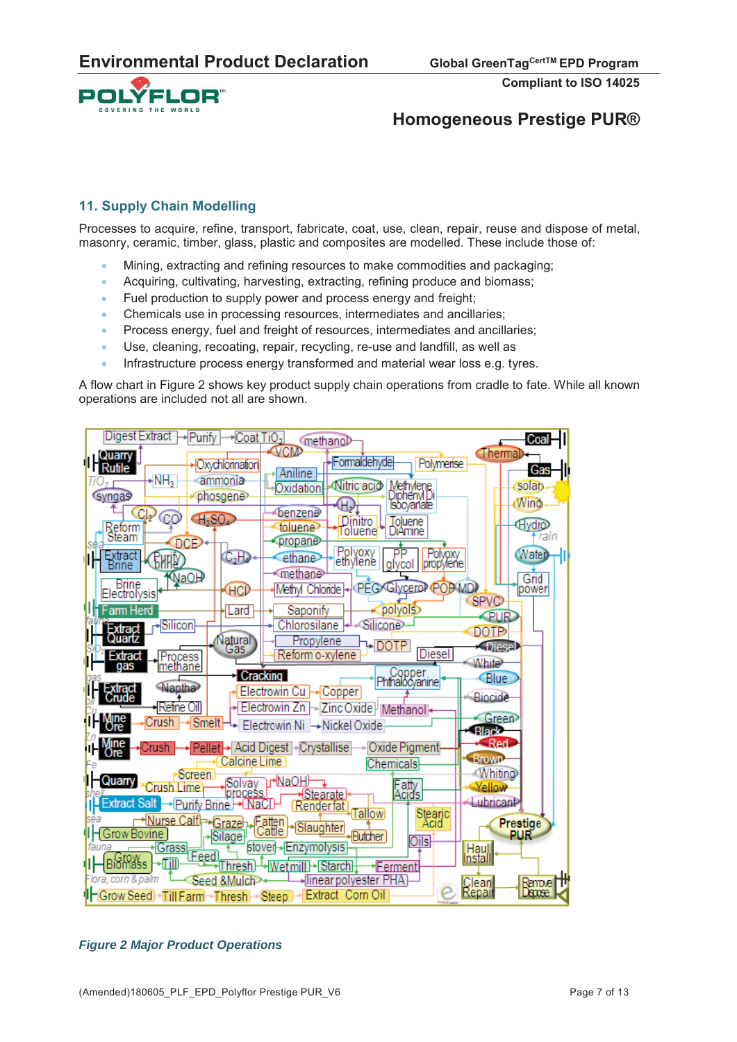

# **Homogeneous Prestige PUR®**

#### **11. Supply Chain Modelling**

Processes to acquire, refine, transport, fabricate, coat, use, clean, repair, reuse and dispose of metal, masonry, ceramic, timber, glass, plastic and composites are modelled. These include those of:

- x Mining, extracting and refining resources to make commodities and packaging;
- Acquiring, cultivating, harvesting, extracting, refining produce and biomass;
- Fuel production to supply power and process energy and freight;
- x Chemicals use in processing resources, intermediates and ancillaries;
- Process energy, fuel and freight of resources, intermediates and ancillaries;
- Use, cleaning, recoating, repair, recycling, re-use and landfill, as well as
- Infrastructure process energy transformed and material wear loss e.g. tyres.

A flow chart in Figure 2 shows key product supply chain operations from cradle to fate. While all known operations are included not all are shown.



*Figure 2 Major Product Operations*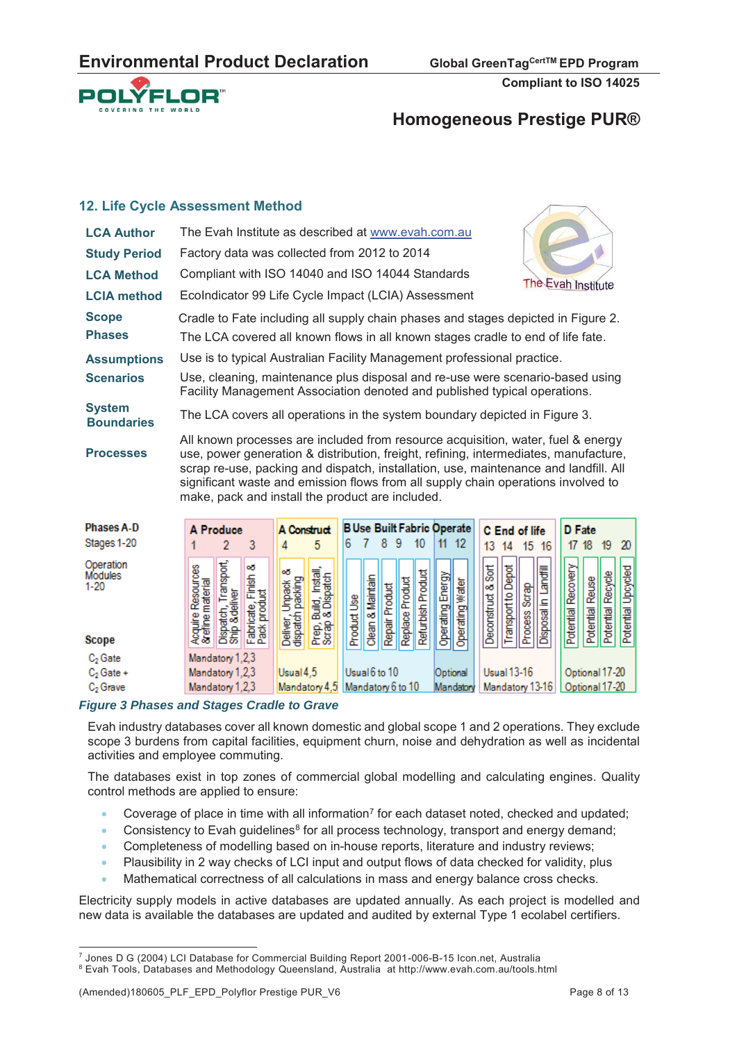

## **Homogeneous Prestige PUR®**

#### **12. Life Cycle Assessment Method**

| The Evah Institute<br>EcoIndicator 99 Life Cycle Impact (LCIA) Assessment<br><b>LCIA method</b><br><b>Scope</b><br>Cradle to Fate including all supply chain phases and stages depicted in Figure 2.<br><b>Phases</b><br>The LCA covered all known flows in all known stages cradle to end of life fate.<br>Use is to typical Australian Facility Management professional practice.<br><b>Assumptions</b><br>Use, cleaning, maintenance plus disposal and re-use were scenario-based using<br><b>Scenarios</b> |
|----------------------------------------------------------------------------------------------------------------------------------------------------------------------------------------------------------------------------------------------------------------------------------------------------------------------------------------------------------------------------------------------------------------------------------------------------------------------------------------------------------------|
|                                                                                                                                                                                                                                                                                                                                                                                                                                                                                                                |
|                                                                                                                                                                                                                                                                                                                                                                                                                                                                                                                |
|                                                                                                                                                                                                                                                                                                                                                                                                                                                                                                                |
| Facility Management Association denoted and published typical operations.                                                                                                                                                                                                                                                                                                                                                                                                                                      |
| <b>System</b><br>The LCA covers all operations in the system boundary depicted in Figure 3.<br><b>Boundaries</b>                                                                                                                                                                                                                                                                                                                                                                                               |
| All known processes are included from resource acquisition, water, fuel & energy<br>use, power generation & distribution, freight, refining, intermediates, manufacture,<br><b>Processes</b><br>scrap re-use, packing and dispatch, installation, use, maintenance and landfill. All<br>significant waste and emission flows from all supply chain operations involved to<br>make, pack and install the product are included.                                                                                  |
| <b>B Use Built Fabric Operate</b><br><b>Phases A-D</b><br>A Produce<br>A Construct<br>D Fate<br>C End of life<br>Stange 1-20<br>G 7 8 9 10 11 12<br>- 6<br>49 44 4F 46<br>47.40 40 M                                                                                                                                                                                                                                                                                                                           |

|                                                  |                                                   | A FIGUUGE                                    |                                        | A WISTUA                                  |                                           |             |                     |                |                 |                   |                     |                 |                            | <b>C</b> End of life |                  |                      | <b>D</b> Lare      |           |                               |                         |
|--------------------------------------------------|---------------------------------------------------|----------------------------------------------|----------------------------------------|-------------------------------------------|-------------------------------------------|-------------|---------------------|----------------|-----------------|-------------------|---------------------|-----------------|----------------------------|----------------------|------------------|----------------------|--------------------|-----------|-------------------------------|-------------------------|
| Stages 1-20                                      |                                                   |                                              | 3                                      | 4                                         | 5                                         |             |                     | 8              | 9               | 10                | 11                  | 12              | 13                         | 14                   | 15               | 16                   | 17                 | 18        | 19                            | 20                      |
| Operation<br>Modules<br>$1 - 20$<br><b>Scope</b> | gg<br>material<br>Resour<br>Acquire<br>& effine r | ransport,<br>Dispatch, Tran<br>Ship &deliver | ಯ<br>Fabricate, Finish<br>Pack product | οð<br>Deliver, Unpack<br>dispatch packing | Prep, Build, Install,<br>Scrap & Dispatch | Product Use | & Maintain<br>Clean | Repair Product | Replace Product | Refurbish Product | Energy<br>Operating | Operating water | $rac{1}{8}$<br>Deconstruct | Transport to Depot   | Scrap<br>Process | Disposal in Landfill | Potential Recovery | Potential | Reuse<br>Recycle<br>Potential | Upcycled<br>Potential I |
| $C2$ Gate                                        | Mandatory 1,2,3                                   |                                              |                                        |                                           |                                           |             |                     |                |                 |                   |                     |                 |                            |                      |                  |                      |                    |           |                               |                         |
| $C2$ Gate +                                      | Mandatory 1,2,3                                   |                                              |                                        | Usual 4,5                                 |                                           |             | Usual 6 to 10       |                |                 | Optional          |                     |                 | <b>Usual 13-16</b>         |                      |                  |                      | Optional 17-20     |           |                               |                         |
| C <sub>2</sub> Grave                             | Mandatory 1,2,3                                   |                                              |                                        |                                           | Mandatory 4,5 Mandatory 6 to 10           |             |                     |                |                 | Mandatory         | Mandatory 13-16     |                 |                            | Optional 17-20       |                  |                      |                    |           |                               |                         |

#### *Figure 3 Phases and Stages Cradle to Grave*

Evah industry databases cover all known domestic and global scope 1 and 2 operations. They exclude scope 3 burdens from capital facilities, equipment churn, noise and dehydration as well as incidental activities and employee commuting.

The databases exist in top zones of commercial global modelling and calculating engines. Quality control methods are applied to ensure:

- Coverage of place in time with all information<sup>7</sup> for each dataset noted, checked and updated;
- Consistency to Evah guidelines<sup>8</sup> for all process technology, transport and energy demand;
- Completeness of modelling based on in-house reports, literature and industry reviews;
- Plausibility in 2 way checks of LCI input and output flows of data checked for validity, plus
- Mathematical correctness of all calculations in mass and energy balance cross checks.

Electricity supply models in active databases are updated annually. As each project is modelled and new data is available the databases are updated and audited by external Type 1 ecolabel certifiers.

<sup>7&</sup>lt;br>The September 2004 Sandana Commercial Building Report 2001-006-B-15 Icon.net, Australia<br>Report Rools, Databases and Methodology Queensland, Australia, at http://www.eyab.com.au/tools.ht

Evah Tools, Databases and Methodology Queensland, Australia at http://www.evah.com.au/tools.html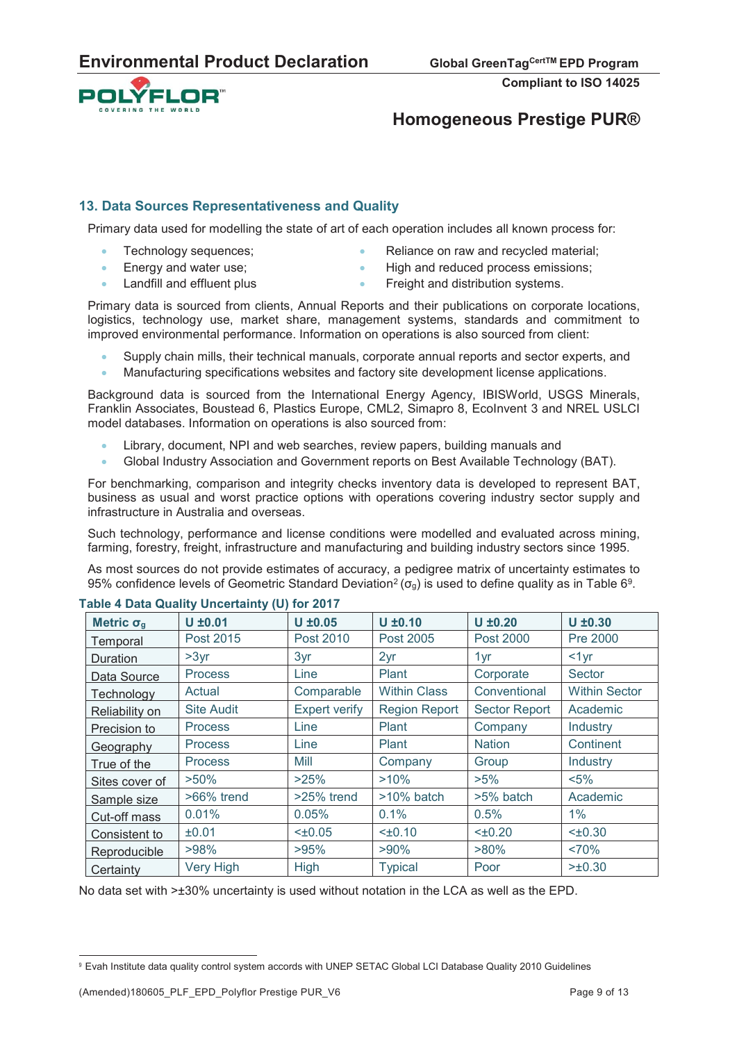

# **Homogeneous Prestige PUR®**

#### **13. Data Sources Representativeness and Quality**

Primary data used for modelling the state of art of each operation includes all known process for:

- - Technology sequences;  $\overline{\phantom{a}}$  Reliance on raw and recycled material;
- Energy and water use;  $\bullet$  High and reduced process emissions;
	- Landfill and effluent plus **x Example 3** Freight and distribution systems.

Primary data is sourced from clients, Annual Reports and their publications on corporate locations, logistics, technology use, market share, management systems, standards and commitment to improved environmental performance. Information on operations is also sourced from client:

- Supply chain mills, their technical manuals, corporate annual reports and sector experts, and
- x Manufacturing specifications websites and factory site development license applications.

Background data is sourced from the International Energy Agency, IBISWorld, USGS Minerals, Franklin Associates, Boustead 6, Plastics Europe, CML2, Simapro 8, EcoInvent 3 and NREL USLCI model databases. Information on operations is also sourced from:

- Library, document, NPI and web searches, review papers, building manuals and
- Global Industry Association and Government reports on Best Available Technology (BAT).

For benchmarking, comparison and integrity checks inventory data is developed to represent BAT, business as usual and worst practice options with operations covering industry sector supply and infrastructure in Australia and overseas.

Such technology, performance and license conditions were modelled and evaluated across mining, farming, forestry, freight, infrastructure and manufacturing and building industry sectors since 1995.

As most sources do not provide estimates of accuracy, a pedigree matrix of uncertainty estimates to 95% confidence levels of Geometric Standard Deviation<sup>2</sup> ( $\sigma_q$ ) is used to define quality as in Table 6<sup>9</sup>.

| Metric $\sigma_{g}$ | .<br>$U \pm 0.01$ | $U \pm 0.05$         | $U \pm 0.10$         | $U \pm 0.20$         | $U \pm 0.30$         |
|---------------------|-------------------|----------------------|----------------------|----------------------|----------------------|
| Temporal            | Post 2015         | Post 2010            | Post 2005            | Post 2000            | Pre 2000             |
| Duration            | >3yr              | 3yr                  | 2yr                  | 1yr                  | $<1$ yr              |
| Data Source         | <b>Process</b>    | Line                 | Plant                | Corporate            | Sector               |
| Technology          | Actual            | Comparable           | <b>Within Class</b>  | Conventional         | <b>Within Sector</b> |
| Reliability on      | <b>Site Audit</b> | <b>Expert verify</b> | <b>Region Report</b> | <b>Sector Report</b> | Academic             |
| Precision to        | <b>Process</b>    | Line                 | Plant                | Company              | Industry             |
| Geography           | <b>Process</b>    | Line                 | Plant                | <b>Nation</b>        | Continent            |
| True of the         | <b>Process</b>    | Mill                 | Company              | Group                | Industry             |
| Sites cover of      | $>50\%$           | >25%                 | >10%                 | $>5\%$               | $< 5\%$              |
| Sample size         | $>66\%$ trend     | $>25\%$ trend        | >10% batch           | >5% batch            | Academic             |
| Cut-off mass        | 0.01%             | 0.05%                | 0.1%                 | 0.5%                 | $1\%$                |
| Consistent to       | ±0.01             | $< \pm 0.05$         | $<\pm 0.10$          | $<\pm 0.20$          | $< \pm 0.30$         |
| Reproducible        | >98%              | >95%                 | $>90\%$              | $>80\%$              | ~570%                |
| Certainty           | Very High         | <b>High</b>          | <b>Typical</b>       | Poor                 | >±0.30               |

#### **Table 4 Data Quality Uncertainty (U) for 2017**

No data set with >±30% uncertainty is used without notation in the LCA as well as the EPD.

 $\overline{a}$ <sup>9</sup> Evah Institute data quality control system accords with UNEP SETAC Global LCI Database Quality 2010 Guidelines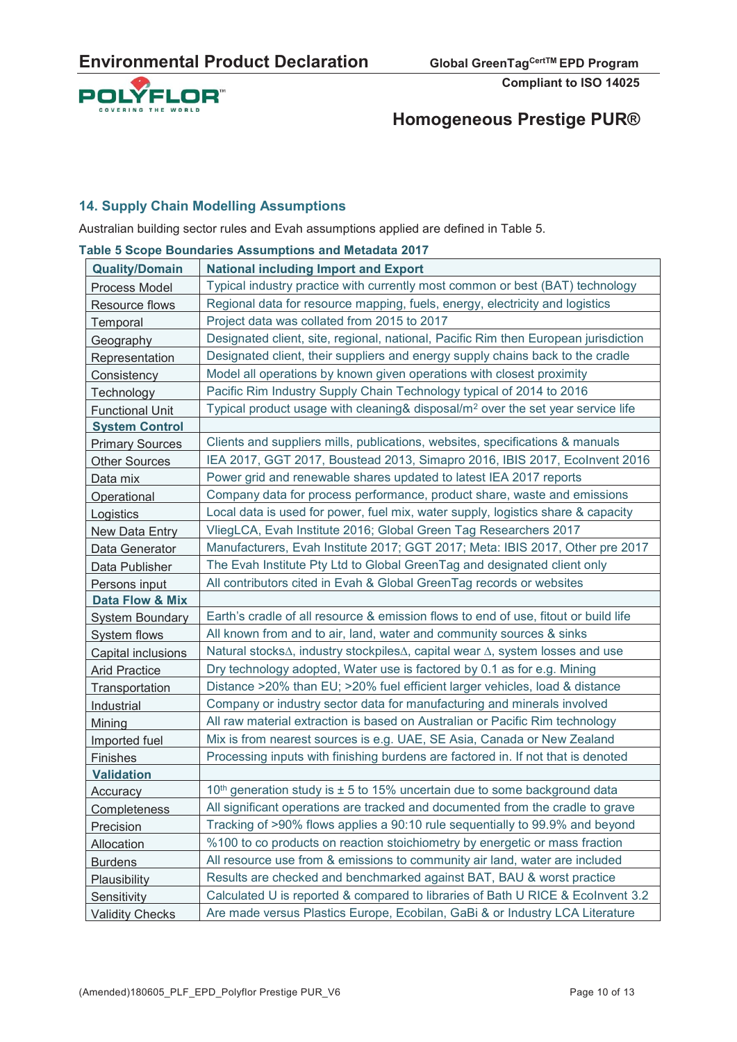

# **Homogeneous Prestige PUR®**

#### **14. Supply Chain Modelling Assumptions**

Australian building sector rules and Evah assumptions applied are defined in Table 5.

|                           | able 5 Scope Boundaries Assumptions and Metadata 2017                                       |
|---------------------------|---------------------------------------------------------------------------------------------|
| <b>Quality/Domain</b>     | <b>National including Import and Export</b>                                                 |
| Process Model             | Typical industry practice with currently most common or best (BAT) technology               |
| Resource flows            | Regional data for resource mapping, fuels, energy, electricity and logistics                |
| Temporal                  | Project data was collated from 2015 to 2017                                                 |
| Geography                 | Designated client, site, regional, national, Pacific Rim then European jurisdiction         |
| Representation            | Designated client, their suppliers and energy supply chains back to the cradle              |
| Consistency               | Model all operations by known given operations with closest proximity                       |
| Technology                | Pacific Rim Industry Supply Chain Technology typical of 2014 to 2016                        |
| <b>Functional Unit</b>    | Typical product usage with cleaning& disposal/m <sup>2</sup> over the set year service life |
| <b>System Control</b>     |                                                                                             |
| <b>Primary Sources</b>    | Clients and suppliers mills, publications, websites, specifications & manuals               |
| <b>Other Sources</b>      | IEA 2017, GGT 2017, Boustead 2013, Simapro 2016, IBIS 2017, Ecolnvent 2016                  |
| Data mix                  | Power grid and renewable shares updated to latest IEA 2017 reports                          |
| Operational               | Company data for process performance, product share, waste and emissions                    |
| Logistics                 | Local data is used for power, fuel mix, water supply, logistics share & capacity            |
| New Data Entry            | VliegLCA, Evah Institute 2016; Global Green Tag Researchers 2017                            |
| Data Generator            | Manufacturers, Evah Institute 2017; GGT 2017; Meta: IBIS 2017, Other pre 2017               |
| Data Publisher            | The Evah Institute Pty Ltd to Global GreenTag and designated client only                    |
| Persons input             | All contributors cited in Evah & Global GreenTag records or websites                        |
| Data Flow & Mix           |                                                                                             |
| <b>System Boundary</b>    | Earth's cradle of all resource & emission flows to end of use, fitout or build life         |
| System flows              | All known from and to air, land, water and community sources & sinks                        |
| <b>Capital inclusions</b> | Natural stocks∆, industry stockpiles∆, capital wear ∆, system losses and use                |
| <b>Arid Practice</b>      | Dry technology adopted, Water use is factored by 0.1 as for e.g. Mining                     |
| Transportation            | Distance >20% than EU; >20% fuel efficient larger vehicles, load & distance                 |
| Industrial                | Company or industry sector data for manufacturing and minerals involved                     |
| Mining                    | All raw material extraction is based on Australian or Pacific Rim technology                |
| Imported fuel             | Mix is from nearest sources is e.g. UAE, SE Asia, Canada or New Zealand                     |
| Finishes                  | Processing inputs with finishing burdens are factored in. If not that is denoted            |
| <b>Validation</b>         |                                                                                             |
| Accuracy                  | 10 <sup>th</sup> generation study is $\pm$ 5 to 15% uncertain due to some background data   |
| Completeness              | All significant operations are tracked and documented from the cradle to grave              |
| Precision                 | Tracking of >90% flows applies a 90:10 rule sequentially to 99.9% and beyond                |
| Allocation                | %100 to co products on reaction stoichiometry by energetic or mass fraction                 |
| <b>Burdens</b>            | All resource use from & emissions to community air land, water are included                 |
| Plausibility              | Results are checked and benchmarked against BAT, BAU & worst practice                       |
| Sensitivity               | Calculated U is reported & compared to libraries of Bath U RICE & Ecolnvent 3.2             |
| <b>Validity Checks</b>    | Are made versus Plastics Europe, Ecobilan, GaBi & or Industry LCA Literature                |

**Table 5 Scope Boundaries Assumptions and Metadata 2017**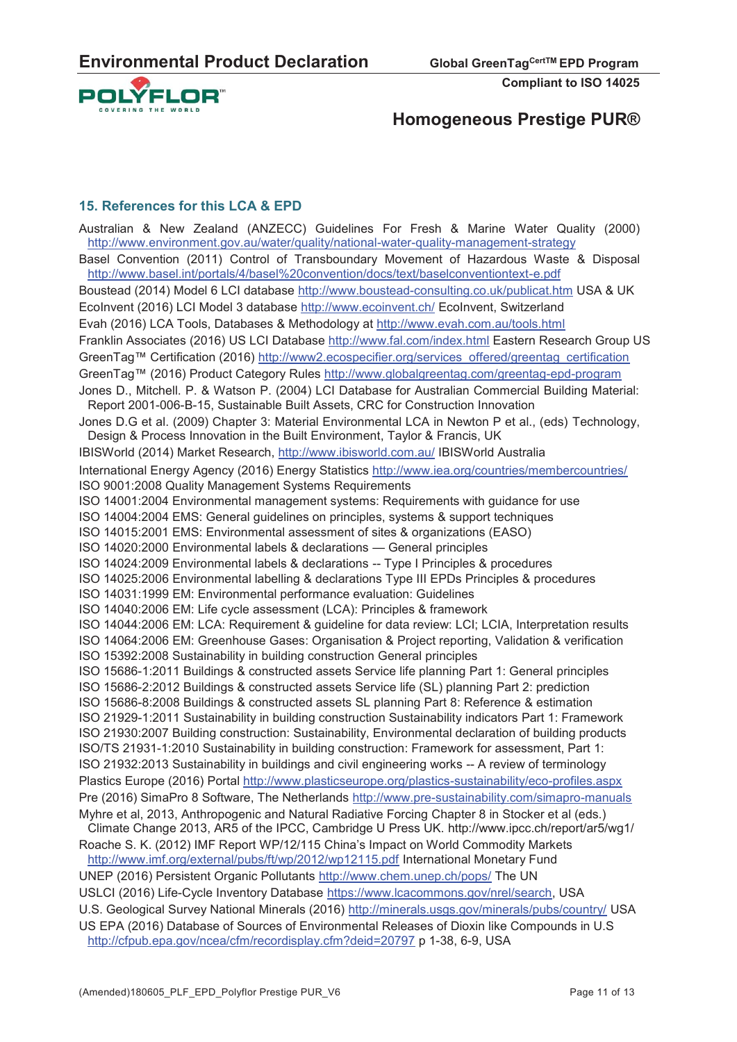

# **Homogeneous Prestige PUR®**

#### **15. References for this LCA & EPD**

Australian & New Zealand (ANZECC) Guidelines For Fresh & Marine Water Quality (2000) http://www.environment.gov.au/water/quality/national-water-quality-management-strategy Basel Convention (2011) Control of Transboundary Movement of Hazardous Waste & Disposal http://www.basel.int/portals/4/basel%20convention/docs/text/baselconventiontext-e.pdf Boustead (2014) Model 6 LCI database http://www.boustead-consulting.co.uk/publicat.htm USA & UK EcoInvent (2016) LCI Model 3 database http://www.ecoinvent.ch/ EcoInvent, Switzerland Evah (2016) LCA Tools, Databases & Methodology at http://www.evah.com.au/tools.html Franklin Associates (2016) US LCI Database http://www.fal.com/index.html Eastern Research Group US GreenTag™ Certification (2016) http://www2.ecospecifier.org/services\_offered/greentag\_certification GreenTag™ (2016) Product Category Rules http://www.globalgreentag.com/greentag-epd-program Jones D., Mitchell. P. & Watson P. (2004) LCI Database for Australian Commercial Building Material: Report 2001-006-B-15, Sustainable Built Assets, CRC for Construction Innovation Jones D.G et al. (2009) Chapter 3: Material Environmental LCA in Newton P et al., (eds) Technology, Design & Process Innovation in the Built Environment, Taylor & Francis, UK IBISWorld (2014) Market Research, http://www.ibisworld.com.au/ IBISWorld Australia International Energy Agency (2016) Energy Statistics http://www.iea.org/countries/membercountries/ ISO 9001:2008 Quality Management Systems Requirements ISO 14001:2004 Environmental management systems: Requirements with guidance for use ISO 14004:2004 EMS: General guidelines on principles, systems & support techniques ISO 14015:2001 EMS: Environmental assessment of sites & organizations (EASO) ISO 14020:2000 Environmental labels & declarations — General principles ISO 14024:2009 Environmental labels & declarations -- Type I Principles & procedures ISO 14025:2006 Environmental labelling & declarations Type III EPDs Principles & procedures ISO 14031:1999 EM: Environmental performance evaluation: Guidelines ISO 14040:2006 EM: Life cycle assessment (LCA): Principles & framework ISO 14044:2006 EM: LCA: Requirement & guideline for data review: LCI; LCIA, Interpretation results ISO 14064:2006 EM: Greenhouse Gases: Organisation & Project reporting, Validation & verification ISO 15392:2008 Sustainability in building construction General principles ISO 15686-1:2011 Buildings & constructed assets Service life planning Part 1: General principles ISO 15686-2:2012 Buildings & constructed assets Service life (SL) planning Part 2: prediction ISO 15686-8:2008 Buildings & constructed assets SL planning Part 8: Reference & estimation ISO 21929-1:2011 Sustainability in building construction Sustainability indicators Part 1: Framework ISO 21930:2007 Building construction: Sustainability, Environmental declaration of building products ISO/TS 21931-1:2010 Sustainability in building construction: Framework for assessment, Part 1: ISO 21932:2013 Sustainability in buildings and civil engineering works -- A review of terminology Plastics Europe (2016) Portal http://www.plasticseurope.org/plastics-sustainability/eco-profiles.aspx Pre (2016) SimaPro 8 Software, The Netherlands http://www.pre-sustainability.com/simapro-manuals Myhre et al, 2013, Anthropogenic and Natural Radiative Forcing Chapter 8 in Stocker et al (eds.) Climate Change 2013, AR5 of the IPCC, Cambridge U Press UK. http://www.ipcc.ch/report/ar5/wg1/ Roache S. K. (2012) IMF Report WP/12/115 China's Impact on World Commodity Markets http://www.imf.org/external/pubs/ft/wp/2012/wp12115.pdf International Monetary Fund UNEP (2016) Persistent Organic Pollutants http://www.chem.unep.ch/pops/ The UN USLCI (2016) Life-Cycle Inventory Database https://www.lcacommons.gov/nrel/search, USA U.S. Geological Survey National Minerals (2016) http://minerals.usgs.gov/minerals/pubs/country/ USA US EPA (2016) Database of Sources of Environmental Releases of Dioxin like Compounds in U.S http://cfpub.epa.gov/ncea/cfm/recordisplay.cfm?deid=20797 p 1-38, 6-9, USA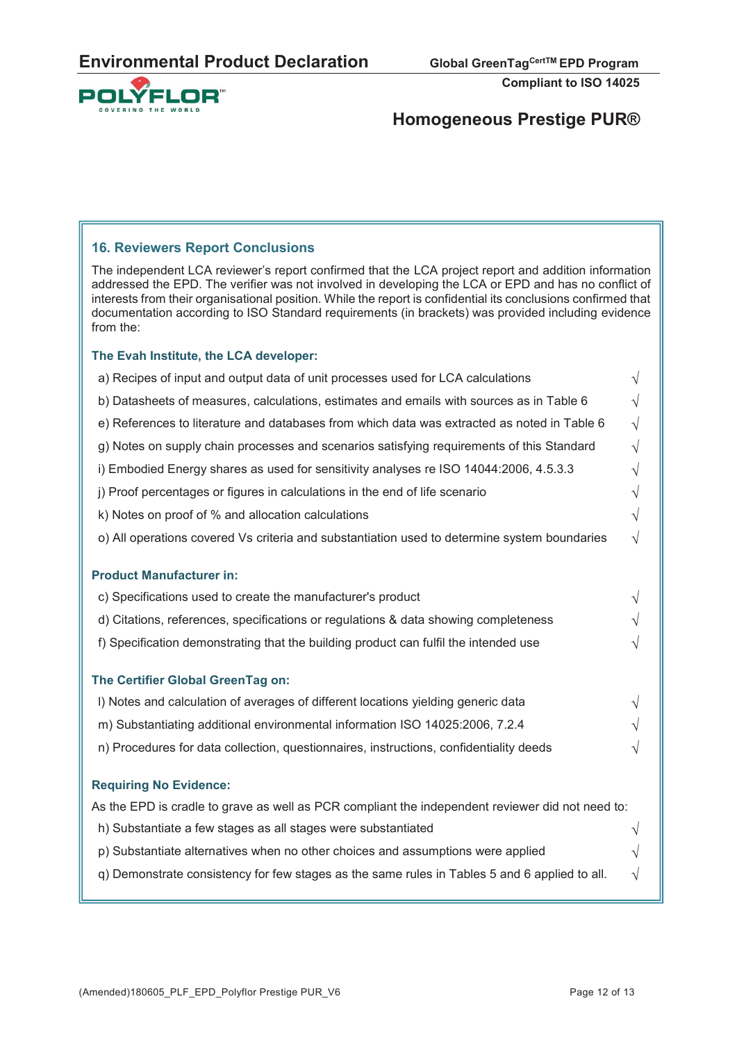

# **Homogeneous Prestige PUR®**

#### **16. Reviewers Report Conclusions**

The independent LCA reviewer's report confirmed that the LCA project report and addition information addressed the EPD. The verifier was not involved in developing the LCA or EPD and has no conflict of interests from their organisational position. While the report is confidential its conclusions confirmed that documentation according to ISO Standard requirements (in brackets) was provided including evidence from the:

#### **The Evah Institute, the LCA developer:**

| a) Recipes of input and output data of unit processes used for LCA calculations                  | $\sqrt{}$ |
|--------------------------------------------------------------------------------------------------|-----------|
| b) Datasheets of measures, calculations, estimates and emails with sources as in Table 6         | $\sqrt{}$ |
| e) References to literature and databases from which data was extracted as noted in Table 6      | $\sqrt{}$ |
| g) Notes on supply chain processes and scenarios satisfying requirements of this Standard        | $\sqrt{}$ |
| i) Embodied Energy shares as used for sensitivity analyses re ISO 14044:2006, 4.5.3.3            | $\sqrt{}$ |
| j) Proof percentages or figures in calculations in the end of life scenario                      | $\sqrt{}$ |
| k) Notes on proof of % and allocation calculations                                               | $\sqrt{}$ |
| o) All operations covered Vs criteria and substantiation used to determine system boundaries     | $\sqrt{}$ |
| <b>Product Manufacturer in:</b>                                                                  |           |
| c) Specifications used to create the manufacturer's product                                      | $\sqrt{}$ |
| d) Citations, references, specifications or regulations & data showing completeness              | V         |
| f) Specification demonstrating that the building product can fulfil the intended use             | $\sqrt{}$ |
| The Certifier Global GreenTag on:                                                                |           |
| I) Notes and calculation of averages of different locations yielding generic data                | $\sqrt{}$ |
| m) Substantiating additional environmental information ISO 14025:2006, 7.2.4                     |           |
| n) Procedures for data collection, questionnaires, instructions, confidentiality deeds           | V         |
| <b>Requiring No Evidence:</b>                                                                    |           |
| As the EPD is cradle to grave as well as PCR compliant the independent reviewer did not need to: |           |
| h) Substantiate a few stages as all stages were substantiated                                    | $\sqrt{}$ |
| p) Substantiate alternatives when no other choices and assumptions were applied                  | $\sqrt{}$ |
| q) Demonstrate consistency for few stages as the same rules in Tables 5 and 6 applied to all.    | $\sqrt{}$ |